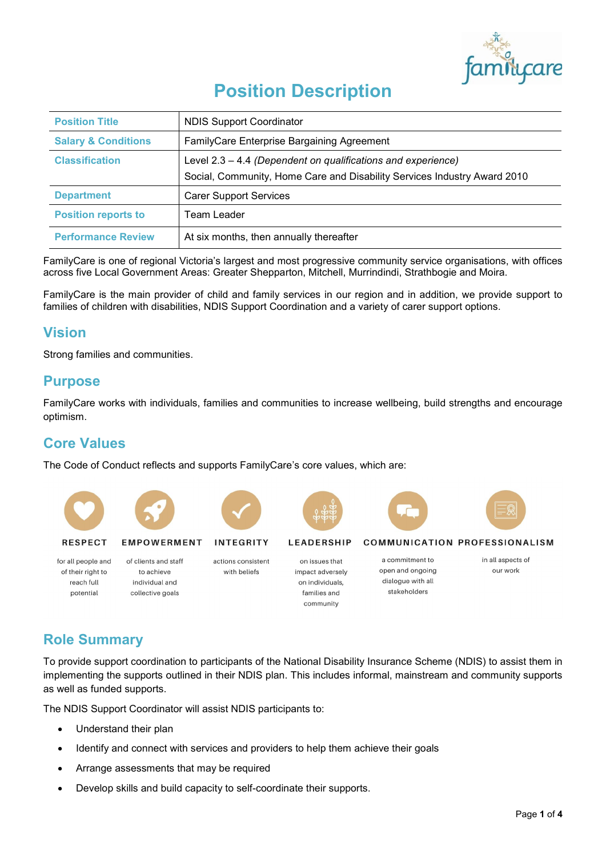

# **Position Description**

| <b>Position Title</b>          | <b>NDIS Support Coordinator</b>                                                                                                          |
|--------------------------------|------------------------------------------------------------------------------------------------------------------------------------------|
| <b>Salary &amp; Conditions</b> | FamilyCare Enterprise Bargaining Agreement                                                                                               |
| <b>Classification</b>          | Level 2.3 – 4.4 (Dependent on qualifications and experience)<br>Social, Community, Home Care and Disability Services Industry Award 2010 |
| <b>Department</b>              | <b>Carer Support Services</b>                                                                                                            |
| <b>Position reports to</b>     | Team Leader                                                                                                                              |
| <b>Performance Review</b>      | At six months, then annually thereafter                                                                                                  |

FamilyCare is one of regional Victoria's largest and most progressive community service organisations, with offices across five Local Government Areas: Greater Shepparton, Mitchell, Murrindindi, Strathbogie and Moira.

FamilyCare is the main provider of child and family services in our region and in addition, we provide support to families of children with disabilities, NDIS Support Coordination and a variety of carer support options.

## **Vision**

Strong families and communities.

### **Purpose**

FamilyCare works with individuals, families and communities to increase wellbeing, build strengths and encourage optimism.

## **Core Values**

The Code of Conduct reflects and supports FamilyCare's core values, which are:



## **Role Summary**

To provide support coordination to participants of the National Disability Insurance Scheme (NDIS) to assist them in implementing the supports outlined in their NDIS plan. This includes informal, mainstream and community supports as well as funded supports.

The NDIS Support Coordinator will assist NDIS participants to:

- Understand their plan
- Identify and connect with services and providers to help them achieve their goals
- Arrange assessments that may be required
- Develop skills and build capacity to self-coordinate their supports.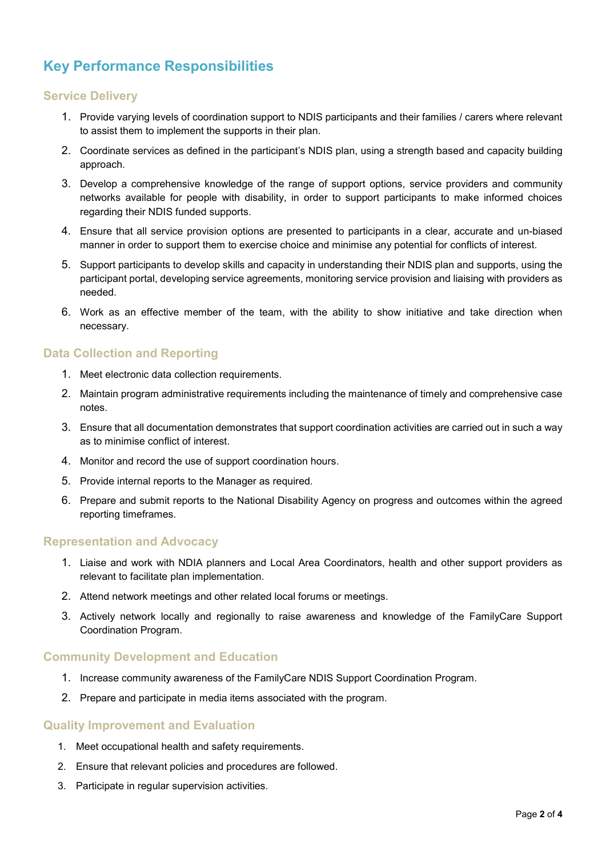## **Key Performance Responsibilities**

#### **Service Delivery**

- 1. Provide varying levels of coordination support to NDIS participants and their families / carers where relevant to assist them to implement the supports in their plan.
- 2. Coordinate services as defined in the participant's NDIS plan, using a strength based and capacity building approach.
- 3. Develop a comprehensive knowledge of the range of support options, service providers and community networks available for people with disability, in order to support participants to make informed choices regarding their NDIS funded supports.
- 4. Ensure that all service provision options are presented to participants in a clear, accurate and un-biased manner in order to support them to exercise choice and minimise any potential for conflicts of interest.
- 5. Support participants to develop skills and capacity in understanding their NDIS plan and supports, using the participant portal, developing service agreements, monitoring service provision and liaising with providers as needed.
- 6. Work as an effective member of the team, with the ability to show initiative and take direction when necessary.

#### **Data Collection and Reporting**

- 1. Meet electronic data collection requirements.
- 2. Maintain program administrative requirements including the maintenance of timely and comprehensive case notes.
- 3. Ensure that all documentation demonstrates that support coordination activities are carried out in such a way as to minimise conflict of interest.
- 4. Monitor and record the use of support coordination hours.
- 5. Provide internal reports to the Manager as required.
- 6. Prepare and submit reports to the National Disability Agency on progress and outcomes within the agreed reporting timeframes.

#### **Representation and Advocacy**

- 1. Liaise and work with NDIA planners and Local Area Coordinators, health and other support providers as relevant to facilitate plan implementation.
- 2. Attend network meetings and other related local forums or meetings.
- 3. Actively network locally and regionally to raise awareness and knowledge of the FamilyCare Support Coordination Program.

#### **Community Development and Education**

- 1. Increase community awareness of the FamilyCare NDIS Support Coordination Program.
- 2. Prepare and participate in media items associated with the program.

#### **Quality Improvement and Evaluation**

- 1. Meet occupational health and safety requirements.
- 2. Ensure that relevant policies and procedures are followed.
- 3. Participate in regular supervision activities.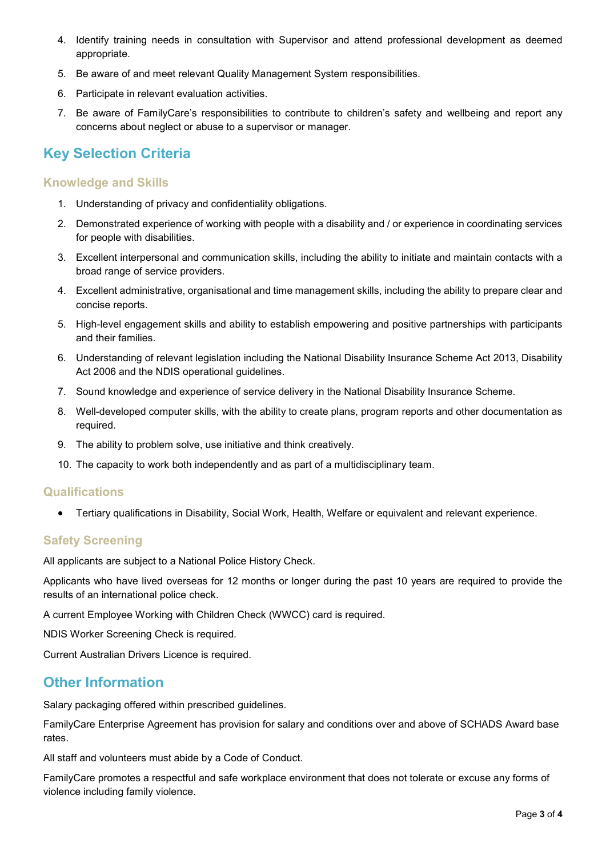- 4. Identify training needs in consultation with Supervisor and attend professional development as deemed appropriate.
- 5. Be aware of and meet relevant Quality Management System responsibilities.
- 6. Participate in relevant evaluation activities.
- 7. Be aware of FamilyCare's responsibilities to contribute to children's safety and wellbeing and report any concerns about neglect or abuse to a supervisor or manager.

## **Key Selection Criteria**

#### **Knowledge and Skills**

- 1. Understanding of privacy and confidentiality obligations.
- 2. Demonstrated experience of working with people with a disability and / or experience in coordinating services for people with disabilities.
- 3. Excellent interpersonal and communication skills, including the ability to initiate and maintain contacts with a broad range of service providers.
- 4. Excellent administrative, organisational and time management skills, including the ability to prepare clear and concise reports.
- 5. High-level engagement skills and ability to establish empowering and positive partnerships with participants and their families.
- 6. Understanding of relevant legislation including the National Disability Insurance Scheme Act 2013, Disability Act 2006 and the NDIS operational guidelines.
- 7. Sound knowledge and experience of service delivery in the National Disability Insurance Scheme.
- 8. Well-developed computer skills, with the ability to create plans, program reports and other documentation as required.
- 9. The ability to problem solve, use initiative and think creatively.
- 10. The capacity to work both independently and as part of a multidisciplinary team.

#### **Qualifications**

• Tertiary qualifications in Disability, Social Work, Health, Welfare or equivalent and relevant experience.

#### **Safety Screening**

All applicants are subject to a National Police History Check.

Applicants who have lived overseas for 12 months or longer during the past 10 years are required to provide the results of an international police check.

A current Employee Working with Children Check (WWCC) card is required.

NDIS Worker Screening Check is required*.*

Current Australian Drivers Licence is required.

## **Other Information**

Salary packaging offered within prescribed guidelines.

FamilyCare Enterprise Agreement has provision for salary and conditions over and above of SCHADS Award base rates.

All staff and volunteers must abide by a Code of Conduct.

FamilyCare promotes a respectful and safe workplace environment that does not tolerate or excuse any forms of violence including family violence.